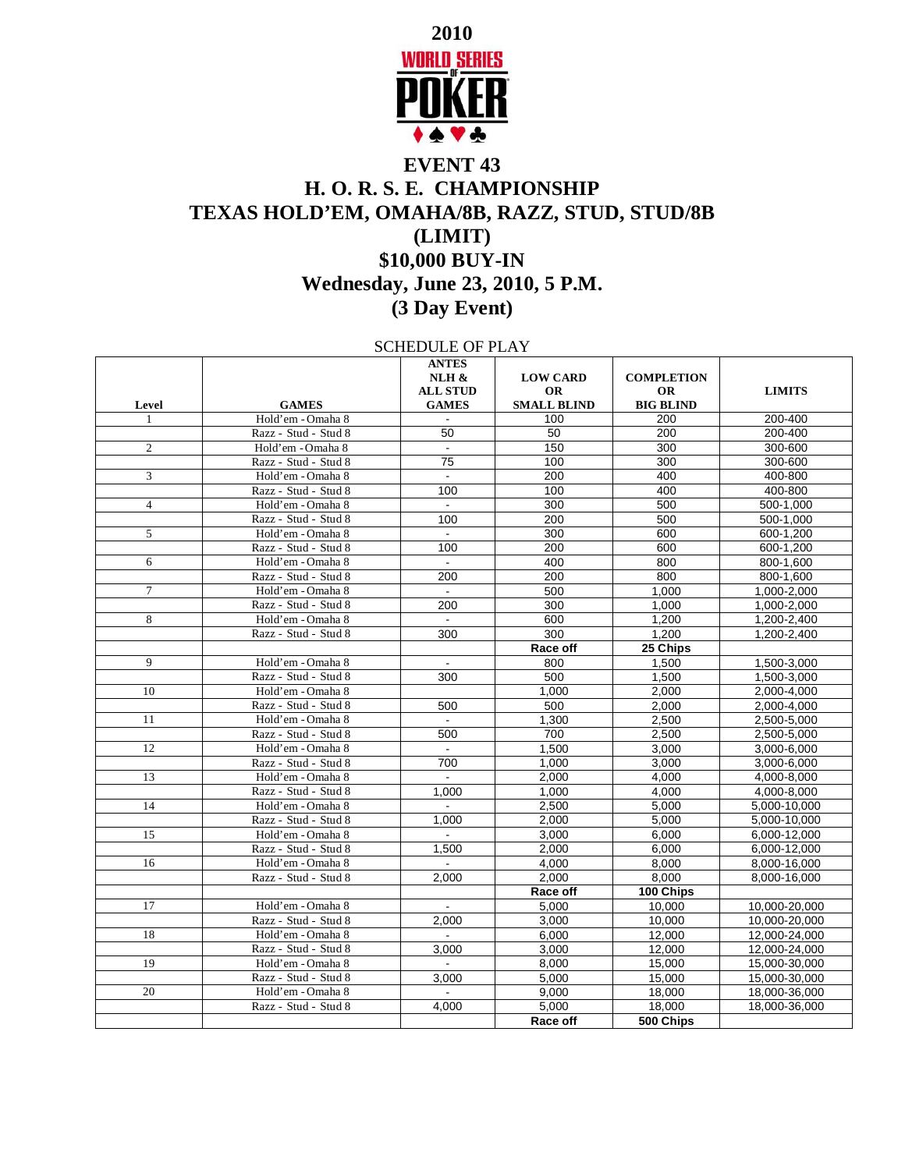

## **EVENT 43 H. O. R. S. E. CHAMPIONSHIP TEXAS HOLD'EM, OMAHA/8B, RAZZ, STUD, STUD/8B (LIMIT) \$10,000 BUY-IN Wednesday, June 23, 2010, 5 P.M. (3 Day Event)**

SCHEDULE OF PLAY

|                |                                           | <b>ANTES</b><br>$NLH$ &<br><b>ALL STUD</b> | <b>LOW CARD</b><br><b>OR</b> | <b>COMPLETION</b><br><b>OR</b> | <b>LIMITS</b>          |
|----------------|-------------------------------------------|--------------------------------------------|------------------------------|--------------------------------|------------------------|
| Level          | <b>GAMES</b>                              | <b>GAMES</b>                               | <b>SMALL BLIND</b>           | <b>BIG BLIND</b>               |                        |
| $\mathbf{1}$   | Hold'em - Omaha 8                         | 50                                         | 100                          | 200                            | 200-400                |
|                | Razz - Stud - Stud 8                      | $\sim$                                     | 50<br>150                    | 200<br>$\overline{300}$        | 200-400                |
| $\overline{2}$ | Hold'em - Omaha 8                         |                                            |                              |                                | 300-600                |
|                | Razz - Stud - Stud 8                      | 75<br>$\sim$                               | 100<br>200                   | 300<br>400                     | 300-600<br>400-800     |
| 3              | Hold'em - Omaha 8                         |                                            | 100                          | 400                            |                        |
| $\overline{4}$ | Razz - Stud - Stud 8<br>Hold'em - Omaha 8 | 100<br>$\mathbf{r}$                        | $\overline{300}$             | 500                            | 400-800<br>500-1,000   |
|                |                                           |                                            |                              |                                |                        |
|                | Razz - Stud - Stud 8<br>Hold'em - Omaha 8 | 100                                        | 200<br>300                   | 500                            | 500-1.000              |
| 5              |                                           | $\sim$<br>100                              | 200                          | 600<br>600                     | 600-1,200<br>600-1.200 |
|                | Razz - Stud - Stud 8                      |                                            |                              |                                |                        |
| 6              | Hold'em - Omaha 8                         | $\sim$                                     | 400<br>$\overline{200}$      | 800                            | 800-1,600              |
|                | Razz - Stud - Stud 8                      | 200                                        |                              | 800                            | 800-1,600              |
| $\overline{7}$ | Hold'em - Omaha 8                         | $\sim$                                     | 500                          | 1.000                          | 1.000-2.000            |
|                | Razz - Stud - Stud 8                      | 200                                        | 300                          | 1,000                          | 1,000-2,000            |
| 8              | Hold'em - Omaha 8                         | $\sim$                                     | 600                          | 1.200                          | 1.200-2.400            |
|                | Razz - Stud - Stud 8                      | 300                                        | 300                          | 1,200                          | 1,200-2,400            |
|                |                                           |                                            | Race off                     | 25 Chips                       |                        |
| 9              | Hold'em - Omaha 8                         | $\blacksquare$                             | 800                          | 1,500                          | 1,500-3,000            |
|                | Razz - Stud - Stud 8                      | 300                                        | 500                          | 1,500                          | 1,500-3,000            |
| 10             | Hold'em - Omaha 8                         |                                            | 1.000                        | 2.000                          | 2.000-4.000            |
|                | Razz - Stud - Stud 8                      | 500                                        | 500                          | 2,000                          | $2,000-4,000$          |
| 11             | Hold'em - Omaha 8                         | $\mathbf{r}$                               | 1,300                        | 2,500                          | 2,500-5,000            |
| 12             | Razz - Stud - Stud 8                      | 500                                        | 700                          | 2,500                          | 2.500-5.000            |
|                | Hold'em - Omaha 8                         | $\sim$                                     | 1,500                        | 3,000                          | 3,000-6,000            |
| 13             | Razz - Stud - Stud 8                      | 700                                        | 1,000                        | 3.000                          | 3.000-6.000            |
|                | Hold'em - Omaha 8                         | $\sim$<br>1.000                            | 2,000                        | 4,000<br>4,000                 | 4,000-8,000            |
|                | Razz - Stud - Stud 8                      | $\sim$                                     | 1,000                        |                                | 4,000-8,000            |
| 14             | Hold'em - Omaha 8                         |                                            | 2.500                        | 5.000                          | 5.000-10.000           |
|                | Razz - Stud - Stud 8                      | 1,000                                      | 2,000                        | 5,000                          | 5,000-10,000           |
| 15             | Hold'em - Omaha 8                         | $\sim$                                     | 3,000                        | 6,000                          | 6,000-12,000           |
|                | Razz - Stud - Stud 8                      | 1.500<br>$\mathbf{r}$                      | 2,000                        | 6,000                          | 6,000-12,000           |
| 16             | Hold'em - Omaha 8                         |                                            | 4,000                        | 8,000                          | 8,000-16,000           |
|                | Razz - Stud - Stud 8                      | 2.000                                      | 2.000                        | 8.000                          | 8.000-16.000           |
|                |                                           |                                            | Race off                     | 100 Chips                      |                        |
| 17             | Hold'em - Omaha 8                         |                                            | 5,000                        | 10.000                         | 10,000-20,000          |
|                | Razz - Stud - Stud 8                      | 2,000                                      | 3,000                        | 10,000                         | 10,000-20,000          |
| 18             | Hold'em - Omaha 8                         | $\omega$                                   | 6.000                        | 12.000                         | 12.000-24.000          |
|                | Razz - Stud - Stud 8                      | 3.000                                      | 3,000                        | 12.000                         | 12,000-24,000          |
| 19             | Hold'em - Omaha 8                         |                                            | 8,000                        | 15,000                         | 15,000-30,000          |
|                | Razz - Stud - Stud 8                      | 3,000                                      | 5,000                        | 15,000                         | 15,000-30,000          |
| 20             | Hold'em - Omaha 8                         |                                            | 9,000                        | 18,000                         | 18,000-36,000          |
|                | Razz - Stud - Stud 8                      | 4.000                                      | 5.000                        | 18.000                         | 18,000-36,000          |
|                |                                           |                                            | Race off                     | 500 Chips                      |                        |